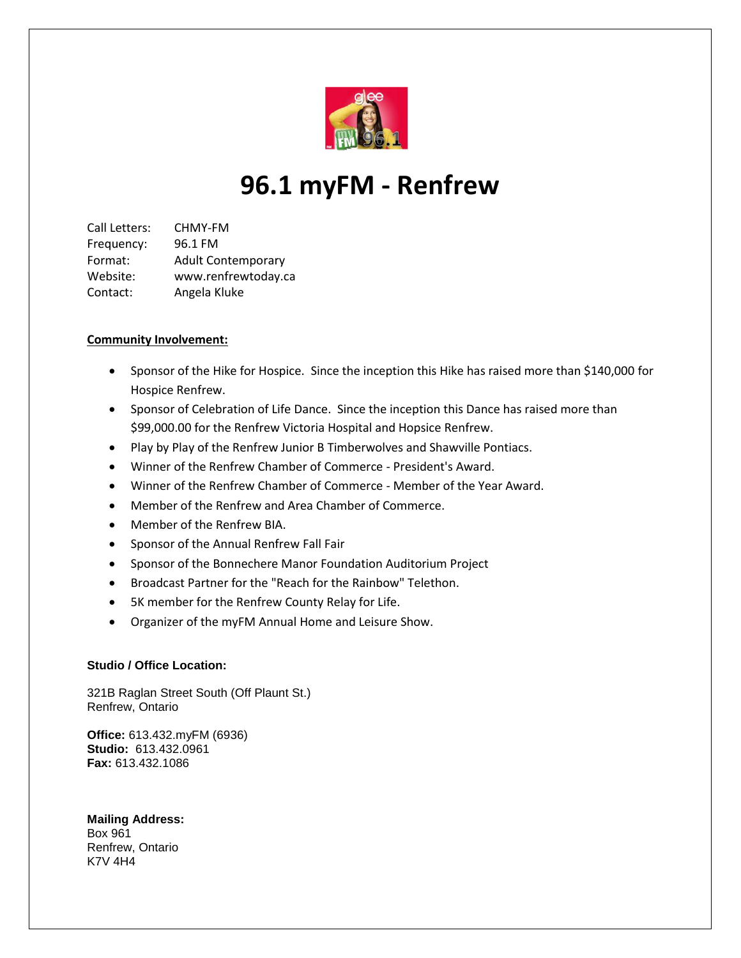

## **96.1 myFM - Renfrew**

Call Letters: CHMY-FM Frequency: 96.1 FM Format: Adult Contemporary Website: www.renfrewtoday.ca Contact: Angela Kluke

## **Community Involvement:**

- Sponsor of the Hike for Hospice. Since the inception this Hike has raised more than \$140,000 for Hospice Renfrew.
- Sponsor of Celebration of Life Dance. Since the inception this Dance has raised more than \$99,000.00 for the Renfrew Victoria Hospital and Hopsice Renfrew.
- Play by Play of the Renfrew Junior B Timberwolves and Shawville Pontiacs.
- Winner of the Renfrew Chamber of Commerce President's Award.
- Winner of the Renfrew Chamber of Commerce Member of the Year Award.
- Member of the Renfrew and Area Chamber of Commerce.
- Member of the Renfrew BIA.
- **•** Sponsor of the Annual Renfrew Fall Fair
- Sponsor of the Bonnechere Manor Foundation Auditorium Project
- Broadcast Partner for the "Reach for the Rainbow" Telethon.
- 5K member for the Renfrew County Relay for Life.
- Organizer of the myFM Annual Home and Leisure Show.

## **Studio / Office Location:**

321B Raglan Street South (Off Plaunt St.) Renfrew, Ontario

**Office:** 613.432.myFM (6936) **Studio:** 613.432.0961 **Fax:** 613.432.1086

**Mailing Address:**  Box 961 Renfrew, Ontario K7V 4H4